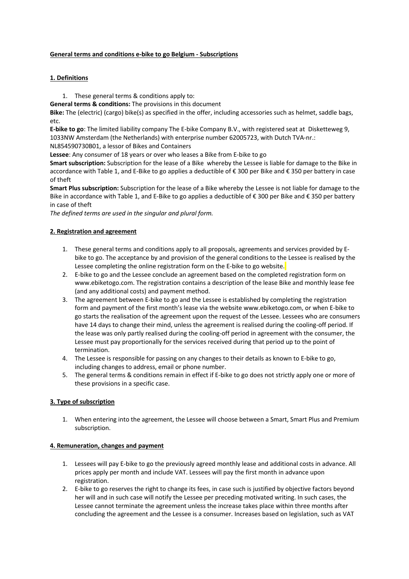## **General terms and conditions e-bike to go Belgium - Subscriptions**

# **1. Definitions**

- 1. These general terms & conditions apply to:
- **General terms & conditions:** The provisions in this document

**Bike:** The (electric) (cargo) bike(s) as specified in the offer, including accessories such as helmet, saddle bags, etc.

**E-bike to go**: The limited liability company The E-bike Company B.V., with registered seat at Disketteweg 9, 1033NW Amsterdam (the Netherlands) with enterprise number 62005723, with Dutch TVA-nr.:

NL854590730B01, a lessor of Bikes and Containers

**Lessee**: Any consumer of 18 years or over who leases a Bike from E-bike to go

**Smart subscription:** Subscription for the lease of a Bike whereby the Lessee is liable for damage to the Bike in accordance with Table 1, and E-Bike to go applies a deductible of € 300 per Bike and € 350 per battery in case of theft

**Smart Plus subscription:** Subscription for the lease of a Bike whereby the Lessee is not liable for damage to the Bike in accordance with Table 1, and E-Bike to go applies a deductible of € 300 per Bike and € 350 per battery in case of theft

*The defined terms are used in the singular and plural form.*

# **2. Registration and agreement**

- 1. These general terms and conditions apply to all proposals, agreements and services provided by Ebike to go. The acceptance by and provision of the general conditions to the Lessee is realised by the Lessee completing the online registration form on the E-bike to go website.
- 2. E-bike to go and the Lessee conclude an agreement based on the completed registration form on www.ebiketogo.com. The registration contains a description of the lease Bike and monthly lease fee (and any additional costs) and payment method.
- 3. The agreement between E-bike to go and the Lessee is established by completing the registration form and payment of the first month's lease via the website www.ebiketogo.com, or when E-bike to go starts the realisation of the agreement upon the request of the Lessee. Lessees who are consumers have 14 days to change their mind, unless the agreement is realised during the cooling-off period. If the lease was only partly realised during the cooling-off period in agreement with the consumer, the Lessee must pay proportionally for the services received during that period up to the point of termination.
- 4. The Lessee is responsible for passing on any changes to their details as known to E-bike to go, including changes to address, email or phone number.
- 5. The general terms & conditions remain in effect if E-bike to go does not strictly apply one or more of these provisions in a specific case.

# **3. Type of subscription**

1. When entering into the agreement, the Lessee will choose between a Smart, Smart Plus and Premium subscription.

## **4. Remuneration, changes and payment**

- 1. Lessees will pay E-bike to go the previously agreed monthly lease and additional costs in advance. All prices apply per month and include VAT. Lessees will pay the first month in advance upon registration.
- 2. E-bike to go reserves the right to change its fees, in case such is justified by objective factors beyond her will and in such case will notify the Lessee per preceding motivated writing. In such cases, the Lessee cannot terminate the agreement unless the increase takes place within three months after concluding the agreement and the Lessee is a consumer. Increases based on legislation, such as VAT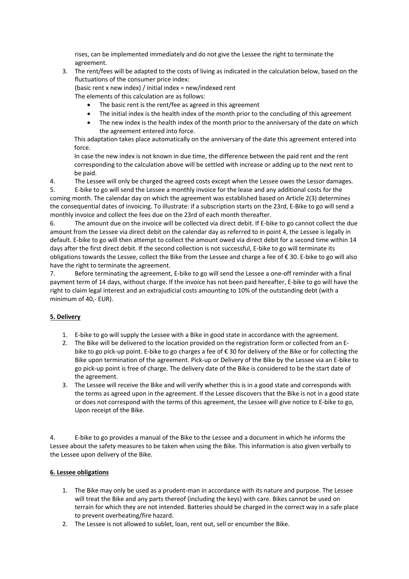rises, can be implemented immediately and do not give the Lessee the right to terminate the agreement.

3. The rent/fees will be adapted to the costs of living as indicated in the calculation below, based on the fluctuations of the consumer price index:

(basic rent x new index) / initial index = new/indexed rent

The elements of this calculation are as follows:

- The basic rent is the rent/fee as agreed in this agreement
- The initial index is the health index of the month prior to the concluding of this agreement
- The new index is the health index of the month prior to the anniversary of the date on which the agreement entered into force.

This adaptation takes place automatically on the anniversary of the date this agreement entered into force.

In case the new index is not known in due time, the difference between the paid rent and the rent corresponding to the calculation above will be settled with increase or adding up to the next rent to be paid.

4. The Lessee will only be charged the agreed costs except when the Lessee owes the Lessor damages. 5. E-bike to go will send the Lessee a monthly invoice for the lease and any additional costs for the

coming month. The calendar day on which the agreement was established based on Article 2(3) determines the consequential dates of invoicing. To illustrate: if a subscription starts on the 23rd, E-Bike to go will send a monthly invoice and collect the fees due on the 23rd of each month thereafter.

6. The amount due on the invoice will be collected via direct debit. If E-bike to go cannot collect the due amount from the Lessee via direct debit on the calendar day as referred to in point 4, the Lessee is legally in default. E-bike to go will then attempt to collect the amount owed via direct debit for a second time within 14 days after the first direct debit. If the second collection is not successful, E-bike to go will terminate its obligations towards the Lessee, collect the Bike from the Lessee and charge a fee of € 30. E-bike to go will also have the right to terminate the agreement.

7. Before terminating the agreement, E-bike to go will send the Lessee a one-off reminder with a final payment term of 14 days, without charge. If the invoice has not been paid hereafter, E-bike to go will have the right to claim legal interest and an extrajudicial costs amounting to 10% of the outstanding debt (with a minimum of 40,- EUR).

# **5. Delivery**

- 1. E-bike to go will supply the Lessee with a Bike in good state in accordance with the agreement.
- 2. The Bike will be delivered to the location provided on the registration form or collected from an Ebike to go pick-up point. E-bike to go charges a fee of € 30 for delivery of the Bike or for collecting the Bike upon termination of the agreement. Pick-up or Delivery of the Bike by the Lessee via an E-bike to go pick-up point is free of charge. The delivery date of the Bike is considered to be the start date of the agreement.
- 3. The Lessee will receive the Bike and will verify whether this is in a good state and corresponds with the terms as agreed upon in the agreement. If the Lessee discovers that the Bike is not in a good state or does not correspond with the terms of this agreement, the Lessee will give notice to E-bike to go, Upon receipt of the Bike.

4. E-bike to go provides a manual of the Bike to the Lessee and a document in which he informs the Lessee about the safety measures to be taken when using the Bike. This information is also given verbally to the Lessee upon delivery of the Bike.

# **6. Lessee obligations**

- 1. The Bike may only be used as a prudent-man in accordance with its nature and purpose. The Lessee will treat the Bike and any parts thereof (including the keys) with care. Bikes cannot be used on terrain for which they are not intended. Batteries should be charged in the correct way in a safe place to prevent overheating/fire hazard.
- 2. The Lessee is not allowed to sublet, loan, rent out, sell or encumber the Bike.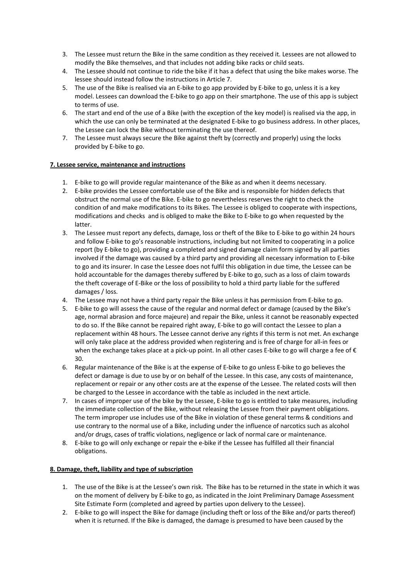- 3. The Lessee must return the Bike in the same condition as they received it. Lessees are not allowed to modify the Bike themselves, and that includes not adding bike racks or child seats.
- 4. The Lessee should not continue to ride the bike if it has a defect that using the bike makes worse. The lessee should instead follow the instructions in Article 7.
- 5. The use of the Bike is realised via an E-bike to go app provided by E-bike to go, unless it is a key model. Lessees can download the E-bike to go app on their smartphone. The use of this app is subject to terms of use.
- 6. The start and end of the use of a Bike (with the exception of the key model) is realised via the app, in which the use can only be terminated at the designated E-bike to go business address. In other places, the Lessee can lock the Bike without terminating the use thereof.
- 7. The Lessee must always secure the Bike against theft by (correctly and properly) using the locks provided by E-bike to go.

## **7. Lessee service, maintenance and instructions**

- 1. E-bike to go will provide regular maintenance of the Bike as and when it deems necessary.
- 2. E-bike provides the Lessee comfortable use of the Bike and is responsible for hidden defects that obstruct the normal use of the Bike. E-bike to go nevertheless reserves the right to check the condition of and make modifications to its Bikes. The Lessee is obliged to cooperate with inspections, modifications and checks and is obliged to make the Bike to E-bike to go when requested by the latter.
- 3. The Lessee must report any defects, damage, loss or theft of the Bike to E-bike to go within 24 hours and follow E-bike to go's reasonable instructions, including but not limited to cooperating in a police report (by E-bike to go), providing a completed and signed damage claim form signed by all parties involved if the damage was caused by a third party and providing all necessary information to E-bike to go and its insurer. In case the Lessee does not fulfil this obligation in due time, the Lessee can be hold accountable for the damages thereby suffered by E-bike to go, such as a loss of claim towards the theft coverage of E-Bike or the loss of possibility to hold a third party liable for the suffered damages / loss.
- 4. The Lessee may not have a third party repair the Bike unless it has permission from E-bike to go.
- 5. E-bike to go will assess the cause of the regular and normal defect or damage (caused by the Bike's age, normal abrasion and force majeure) and repair the Bike, unless it cannot be reasonably expected to do so. If the Bike cannot be repaired right away, E-bike to go will contact the Lessee to plan a replacement within 48 hours. The Lessee cannot derive any rights if this term is not met. An exchange will only take place at the address provided when registering and is free of charge for all-in fees or when the exchange takes place at a pick-up point. In all other cases E-bike to go will charge a fee of  $\epsilon$ 30.
- 6. Regular maintenance of the Bike is at the expense of E-bike to go unless E-bike to go believes the defect or damage is due to use by or on behalf of the Lessee. In this case, any costs of maintenance, replacement or repair or any other costs are at the expense of the Lessee. The related costs will then be charged to the Lessee in accordance with the table as included in the next article.
- 7. In cases of improper use of the bike by the Lessee, E-bike to go is entitled to take measures, including the immediate collection of the Bike, without releasing the Lessee from their payment obligations. The term improper use includes use of the Bike in violation of these general terms & conditions and use contrary to the normal use of a Bike, including under the influence of narcotics such as alcohol and/or drugs, cases of traffic violations, negligence or lack of normal care or maintenance.
- 8. E-bike to go will only exchange or repair the e-bike if the Lessee has fulfilled all their financial obligations.

#### **8. Damage, theft, liability and type of subscription**

- 1. The use of the Bike is at the Lessee's own risk. The Bike has to be returned in the state in which it was on the moment of delivery by E-bike to go, as indicated in the Joint Preliminary Damage Assessment Site Estimate Form (completed and agreed by parties upon delivery to the Lessee).
- 2. E-bike to go will inspect the Bike for damage (including theft or loss of the Bike and/or parts thereof) when it is returned. If the Bike is damaged, the damage is presumed to have been caused by the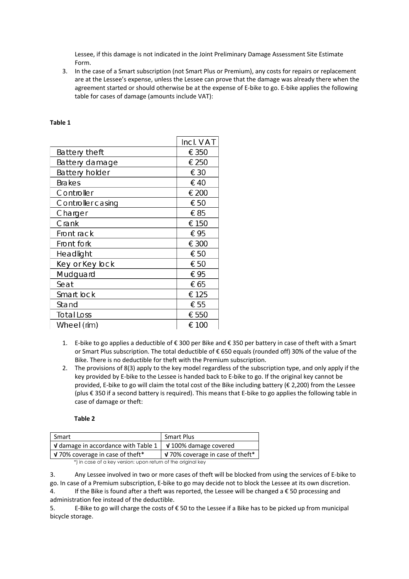Lessee, if this damage is not indicated in the Joint Preliminary Damage Assessment Site Estimate Form.

3. In the case of a Smart subscription (not Smart Plus or Premium), any costs for repairs or replacement are at the Lessee's expense, unless the Lessee can prove that the damage was already there when the agreement started or should otherwise be at the expense of E-bike to go. E-bike applies the following table for cases of damage (amounts include VAT):

|                  | Incl. VAT |
|------------------|-----------|
| Battery theft    | € 350     |
| Battery damage   | € 250     |
| Battery holder   | € 30      |
| <b>Brakes</b>    | €40       |
| Controller       | € 200     |
| Controllercasing | € 50      |
| Charger          | €85       |
| Crank            | € 150     |
| Front rack       | €95       |
| Front fork       | € 300     |
| Headlight        | € 50      |
| Key or Key lock  | € 50      |
| Mudguard         | €95       |
| Seat             | € 65      |
| Smart lock       | € 125     |
| Stand            | € 55      |
| Total Loss       | € 550     |
| Wheel (rim)      | $\in$ 100 |

## **Table 1**

- 1. E-bike to go applies a deductible of € 300 per Bike and € 350 per battery in case of theft with a Smart or Smart Plus subscription. The total deductible of € 650 equals (rounded off) 30% of the value of the Bike. There is no deductible for theft with the Premium subscription.
- 2. The provisions of 8(3) apply to the key model regardless of the subscription type, and only apply if the key provided by E-bike to the Lessee is handed back to E-bike to go. If the original key cannot be provided, E-bike to go will claim the total cost of the Bike including battery (€ 2,200) from the Lessee (plus € 350 if a second battery is required). This means that E-bike to go applies the following table in case of damage or theft:

#### **Table 2**

| <b>Smart Plus</b>                                                                   |  |
|-------------------------------------------------------------------------------------|--|
| <b>V</b> damage in accordance with Table 1 $\vert$<br>$\sqrt{100\%}$ damage covered |  |
| $\sqrt{3}$ 70% coverage in case of theft*                                           |  |
|                                                                                     |  |

\*) in case of a key version: upon return of the original key

3. Any Lessee involved in two or more cases of theft will be blocked from using the services of E-bike to go. In case of a Premium subscription, E-bike to go may decide not to block the Lessee at its own discretion.

4. If the Bike is found after a theft was reported, the Lessee will be changed a € 50 processing and administration fee instead of the deductible.

5. E-Bike to go will charge the costs of € 50 to the Lessee if a Bike has to be picked up from municipal bicycle storage.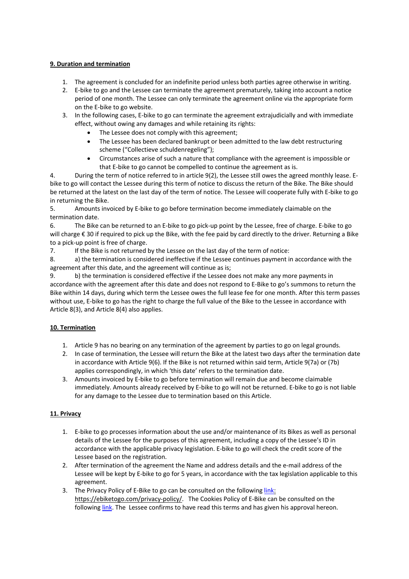# **9. Duration and termination**

- 1. The agreement is concluded for an indefinite period unless both parties agree otherwise in writing.
- 2. E-bike to go and the Lessee can terminate the agreement prematurely, taking into account a notice period of one month. The Lessee can only terminate the agreement online via the appropriate form on the E-bike to go website.
- 3. In the following cases, E-bike to go can terminate the agreement extrajudicially and with immediate effect, without owing any damages and while retaining its rights:
	- The Lessee does not comply with this agreement;
	- The Lessee has been declared bankrupt or been admitted to the law debt restructuring scheme ("Collectieve schuldenregeling");
	- Circumstances arise of such a nature that compliance with the agreement is impossible or that E-bike to go cannot be compelled to continue the agreement as is.

4. During the term of notice referred to in article 9(2), the Lessee still owes the agreed monthly lease. Ebike to go will contact the Lessee during this term of notice to discuss the return of the Bike. The Bike should be returned at the latest on the last day of the term of notice. The Lessee will cooperate fully with E-bike to go in returning the Bike.

5. Amounts invoiced by E-bike to go before termination become immediately claimable on the termination date.

6. The Bike can be returned to an E-bike to go pick-up point by the Lessee, free of charge. E-bike to go will charge € 30 if required to pick up the Bike, with the fee paid by card directly to the driver. Returning a Bike to a pick-up point is free of charge.

7. If the Bike is not returned by the Lessee on the last day of the term of notice:

8. a) the termination is considered ineffective if the Lessee continues payment in accordance with the agreement after this date, and the agreement will continue as is;

9. b) the termination is considered effective if the Lessee does not make any more payments in accordance with the agreement after this date and does not respond to E-Bike to go's summons to return the Bike within 14 days, during which term the Lessee owes the full lease fee for one month. After this term passes without use, E-bike to go has the right to charge the full value of the Bike to the Lessee in accordance with Article 8(3), and Article 8(4) also applies.

# **10. Termination**

- 1. Article 9 has no bearing on any termination of the agreement by parties to go on legal grounds.
- 2. In case of termination, the Lessee will return the Bike at the latest two days after the termination date in accordance with Article 9(6). If the Bike is not returned within said term, Article 9(7a) or (7b) applies correspondingly, in which 'this date' refers to the termination date.
- 3. Amounts invoiced by E-bike to go before termination will remain due and become claimable immediately. Amounts already received by E-bike to go will not be returned. E-bike to go is not liable for any damage to the Lessee due to termination based on this Article.

# **11. Privacy**

- 1. E-bike to go processes information about the use and/or maintenance of its Bikes as well as personal details of the Lessee for the purposes of this agreement, including a copy of the Lessee's ID in accordance with the applicable privacy legislation. E-bike to go will check the credit score of the Lessee based on the registration.
- 2. After termination of the agreement the Name and address details and the e-mail address of the Lessee will be kept by E-bike to go for 5 years, in accordance with the tax legislation applicable to this agreement.
- 3. The Privacy Policy of E-Bike to go can be consulted on the following link: https://ebiketogo.com/privacy-policy/. The Cookies Policy of E-Bike can be consulted on the following link. The Lessee confirms to have read this terms and has given his approval hereon.